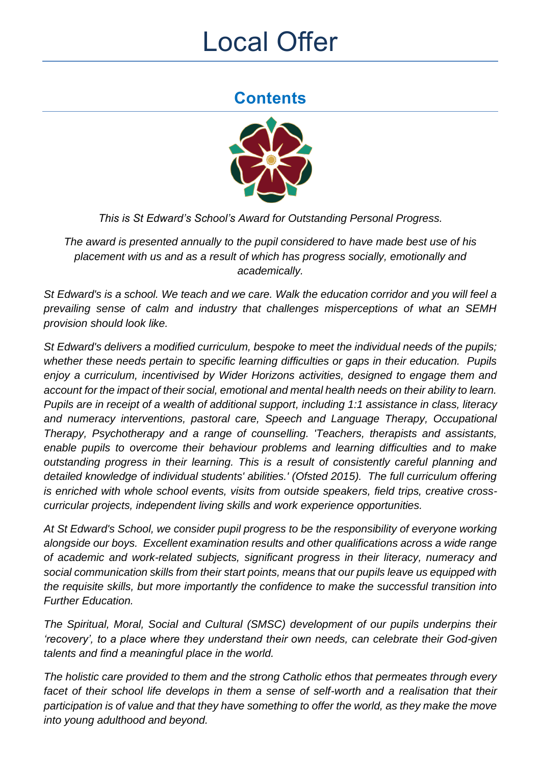# Local Offer

# **Contents**



*This is St Edward's School's Award for Outstanding Personal Progress.*

*The award is presented annually to the pupil considered to have made best use of his placement with us and as a result of which has progress socially, emotionally and academically.*

*St Edward's is a school. We teach and we care. Walk the education corridor and you will feel a prevailing sense of calm and industry that challenges misperceptions of what an SEMH provision should look like.* 

*St Edward's delivers a modified curriculum, bespoke to meet the individual needs of the pupils; whether these needs pertain to specific learning difficulties or gaps in their education. Pupils enjoy a curriculum, incentivised by Wider Horizons activities, designed to engage them and account for the impact of their social, emotional and mental health needs on their ability to learn. Pupils are in receipt of a wealth of additional support, including 1:1 assistance in class, literacy and numeracy interventions, pastoral care, Speech and Language Therapy, Occupational Therapy, Psychotherapy and a range of counselling. 'Teachers, therapists and assistants, enable pupils to overcome their behaviour problems and learning difficulties and to make outstanding progress in their learning. This is a result of consistently careful planning and detailed knowledge of individual students' abilities.' (Ofsted 2015). The full curriculum offering is enriched with whole school events, visits from outside speakers, field trips, creative crosscurricular projects, independent living skills and work experience opportunities.* 

*At St Edward's School, we consider pupil progress to be the responsibility of everyone working alongside our boys. Excellent examination results and other qualifications across a wide range of academic and work-related subjects, significant progress in their literacy, numeracy and social communication skills from their start points, means that our pupils leave us equipped with the requisite skills, but more importantly the confidence to make the successful transition into Further Education.* 

*The Spiritual, Moral, Social and Cultural (SMSC) development of our pupils underpins their 'recovery', to a place where they understand their own needs, can celebrate their God-given talents and find a meaningful place in the world.*

*The holistic care provided to them and the strong Catholic ethos that permeates through every*  facet of their school life develops in them a sense of self-worth and a realisation that their *participation is of value and that they have something to offer the world, as they make the move into young adulthood and beyond.*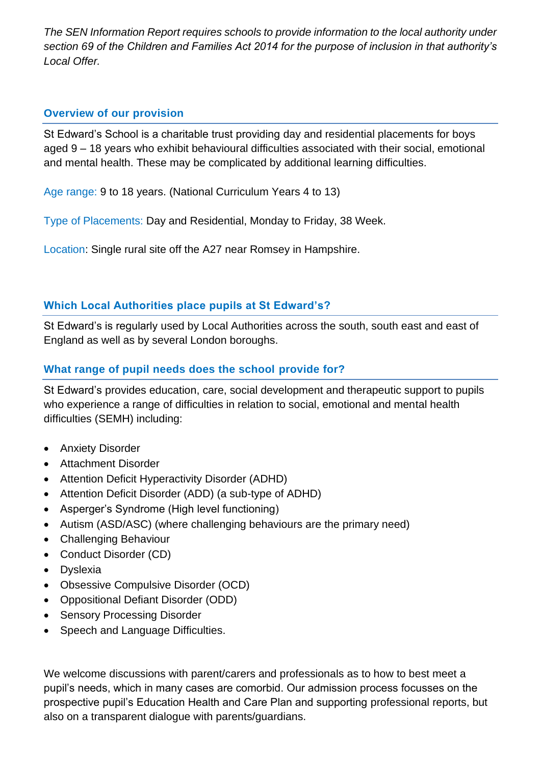*The SEN Information Report requires schools to provide information to the local authority under section 69 of the Children and Families Act 2014 for the purpose of inclusion in that authority's Local Offer.*

# **Overview of our provision**

St Edward's School is a charitable trust providing day and residential placements for boys aged 9 – 18 years who exhibit behavioural difficulties associated with their social, emotional and mental health. These may be complicated by additional learning difficulties.

Age range: 9 to 18 years. (National Curriculum Years 4 to 13)

Type of Placements: Day and Residential, Monday to Friday, 38 Week.

Location: Single rural site off the A27 near Romsey in Hampshire.

# **Which Local Authorities place pupils at St Edward's?**

St Edward's is regularly used by Local Authorities across the south, south east and east of England as well as by several London boroughs.

# **What range of pupil needs does the school provide for?**

St Edward's provides education, care, social development and therapeutic support to pupils who experience a range of difficulties in relation to social, emotional and mental health difficulties (SEMH) including:

- Anxiety Disorder
- Attachment Disorder
- Attention Deficit Hyperactivity Disorder (ADHD)
- Attention Deficit Disorder (ADD) (a sub-type of ADHD)
- Asperger's Syndrome (High level functioning)
- Autism (ASD/ASC) (where challenging behaviours are the primary need)
- Challenging Behaviour
- Conduct Disorder (CD)
- Dyslexia
- Obsessive Compulsive Disorder (OCD)
- Oppositional Defiant Disorder (ODD)
- Sensory Processing Disorder
- Speech and Language Difficulties.

We welcome discussions with parent/carers and professionals as to how to best meet a pupil's needs, which in many cases are comorbid. Our admission process focusses on the prospective pupil's Education Health and Care Plan and supporting professional reports, but also on a transparent dialogue with parents/guardians.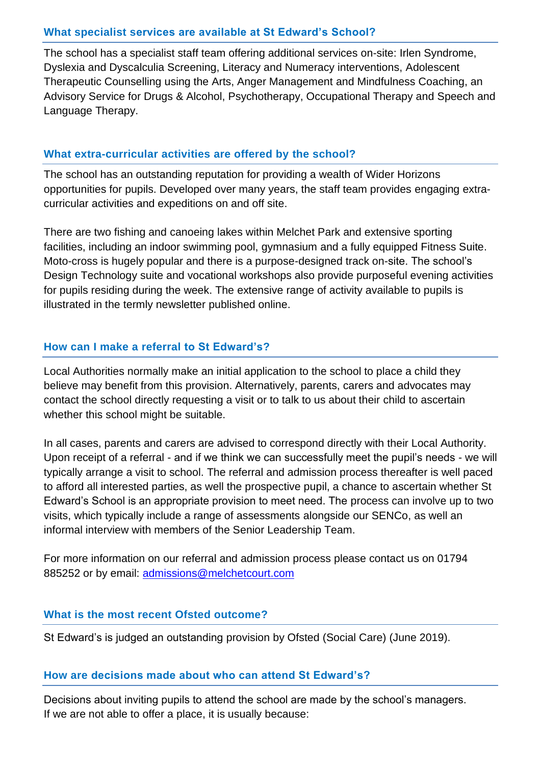#### **What specialist services are available at St Edward's School?**

The school has a specialist staff team offering additional services on-site: Irlen Syndrome, Dyslexia and Dyscalculia Screening, Literacy and Numeracy interventions, Adolescent Therapeutic Counselling using the Arts, Anger Management and Mindfulness Coaching, an Advisory Service for Drugs & Alcohol, Psychotherapy, Occupational Therapy and Speech and Language Therapy.

#### **What extra-curricular activities are offered by the school?**

The school has an outstanding reputation for providing a wealth of Wider Horizons opportunities for pupils. Developed over many years, the staff team provides engaging extracurricular activities and expeditions on and off site.

There are two fishing and canoeing lakes within Melchet Park and extensive sporting facilities, including an indoor swimming pool, gymnasium and a fully equipped Fitness Suite. Moto-cross is hugely popular and there is a purpose-designed track on-site. The school's Design Technology suite and vocational workshops also provide purposeful evening activities for pupils residing during the week. The extensive range of activity available to pupils is illustrated in the termly newsletter published online.

#### **How can I make a referral to St Edward's?**

Local Authorities normally make an initial application to the school to place a child they believe may benefit from this provision. Alternatively, parents, carers and advocates may contact the school directly requesting a visit or to talk to us about their child to ascertain whether this school might be suitable.

In all cases, parents and carers are advised to correspond directly with their Local Authority. Upon receipt of a referral - and if we think we can successfully meet the pupil's needs - we will typically arrange a visit to school. The referral and admission process thereafter is well paced to afford all interested parties, as well the prospective pupil, a chance to ascertain whether St Edward's School is an appropriate provision to meet need. The process can involve up to two visits, which typically include a range of assessments alongside our SENCo, as well an informal interview with members of the Senior Leadership Team.

For more information on our referral and admission process please contact us on 01794 885252 or by email: [admissions@melchetcourt.com](mailto:admissions@melchetcourt.com)

#### **What is the most recent Ofsted outcome?**

St Edward's is judged an outstanding provision by Ofsted (Social Care) (June 2019).

#### **How are decisions made about who can attend St Edward's?**

Decisions about inviting pupils to attend the school are made by the school's managers. If we are not able to offer a place, it is usually because: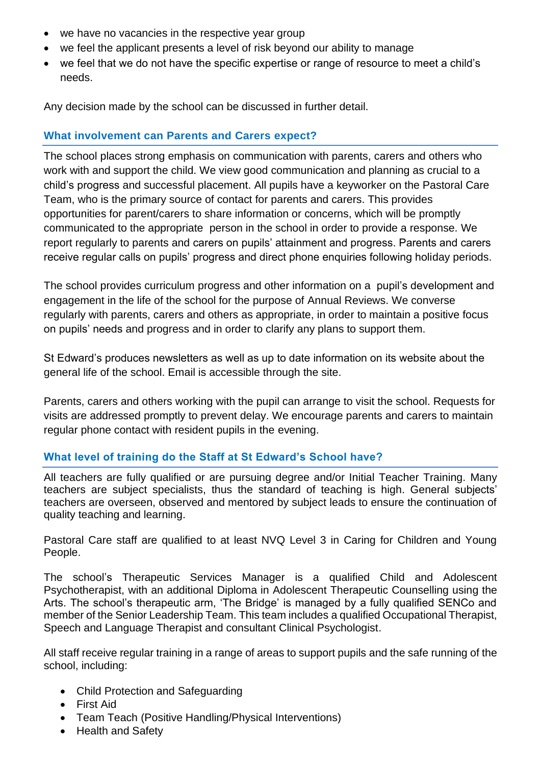- we have no vacancies in the respective year group
- we feel the applicant presents a level of risk beyond our ability to manage
- we feel that we do not have the specific expertise or range of resource to meet a child's needs.

Any decision made by the school can be discussed in further detail.

#### **What involvement can Parents and Carers expect?**

The school places strong emphasis on communication with parents, carers and others who work with and support the child. We view good communication and planning as crucial to a child's progress and successful placement. All pupils have a keyworker on the Pastoral Care Team, who is the primary source of contact for parents and carers. This provides opportunities for parent/carers to share information or concerns, which will be promptly communicated to the appropriate person in the school in order to provide a response. We report regularly to parents and carers on pupils' attainment and progress. Parents and carers receive regular calls on pupils' progress and direct phone enquiries following holiday periods.

The school provides curriculum progress and other information on a pupil's development and engagement in the life of the school for the purpose of Annual Reviews. We converse regularly with parents, carers and others as appropriate, in order to maintain a positive focus on pupils' needs and progress and in order to clarify any plans to support them.

St Edward's produces newsletters as well as up to date information on its website about the general life of the school. Email is accessible through the site.

Parents, carers and others working with the pupil can arrange to visit the school. Requests for visits are addressed promptly to prevent delay. We encourage parents and carers to maintain regular phone contact with resident pupils in the evening.

#### **What level of training do the Staff at St Edward's School have?**

All teachers are fully qualified or are pursuing degree and/or Initial Teacher Training. Many teachers are subject specialists, thus the standard of teaching is high. General subjects' teachers are overseen, observed and mentored by subject leads to ensure the continuation of quality teaching and learning.

Pastoral Care staff are qualified to at least NVQ Level 3 in Caring for Children and Young People.

The school's Therapeutic Services Manager is a qualified Child and Adolescent Psychotherapist, with an additional Diploma in Adolescent Therapeutic Counselling using the Arts. The school's therapeutic arm, 'The Bridge' is managed by a fully qualified SENCo and member of the Senior Leadership Team. This team includes a qualified Occupational Therapist, Speech and Language Therapist and consultant Clinical Psychologist.

All staff receive regular training in a range of areas to support pupils and the safe running of the school, including:

- Child Protection and Safeguarding
- First Aid
- Team Teach (Positive Handling/Physical Interventions)
- Health and Safety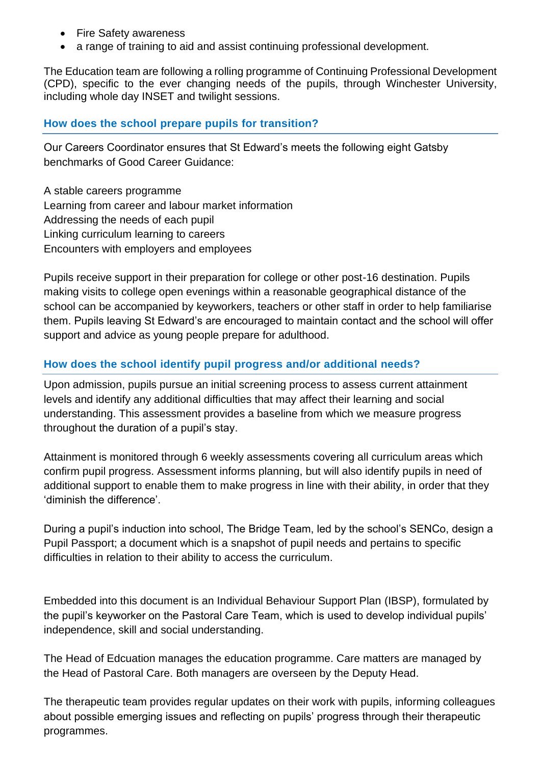- Fire Safety awareness
- a range of training to aid and assist continuing professional development.

The Education team are following a rolling programme of Continuing Professional Development (CPD), specific to the ever changing needs of the pupils, through Winchester University, including whole day INSET and twilight sessions.

#### **How does the school prepare pupils for transition?**

Our Careers Coordinator ensures that St Edward's meets the following eight Gatsby benchmarks of Good Career Guidance:

A stable careers programme Learning from career and labour market information Addressing the needs of each pupil Linking curriculum learning to careers Encounters with employers and employees

Pupils receive support in their preparation for college or other post-16 destination. Pupils making visits to college open evenings within a reasonable geographical distance of the school can be accompanied by keyworkers, teachers or other staff in order to help familiarise them. Pupils leaving St Edward's are encouraged to maintain contact and the school will offer support and advice as young people prepare for adulthood.

#### **How does the school identify pupil progress and/or additional needs?**

Upon admission, pupils pursue an initial screening process to assess current attainment levels and identify any additional difficulties that may affect their learning and social understanding. This assessment provides a baseline from which we measure progress throughout the duration of a pupil's stay.

Attainment is monitored through 6 weekly assessments covering all curriculum areas which confirm pupil progress. Assessment informs planning, but will also identify pupils in need of additional support to enable them to make progress in line with their ability, in order that they 'diminish the difference'.

During a pupil's induction into school, The Bridge Team, led by the school's SENCo, design a Pupil Passport; a document which is a snapshot of pupil needs and pertains to specific difficulties in relation to their ability to access the curriculum.

Embedded into this document is an Individual Behaviour Support Plan (IBSP), formulated by the pupil's keyworker on the Pastoral Care Team, which is used to develop individual pupils' independence, skill and social understanding.

The Head of Edcuation manages the education programme. Care matters are managed by the Head of Pastoral Care. Both managers are overseen by the Deputy Head.

The therapeutic team provides regular updates on their work with pupils, informing colleagues about possible emerging issues and reflecting on pupils' progress through their therapeutic programmes.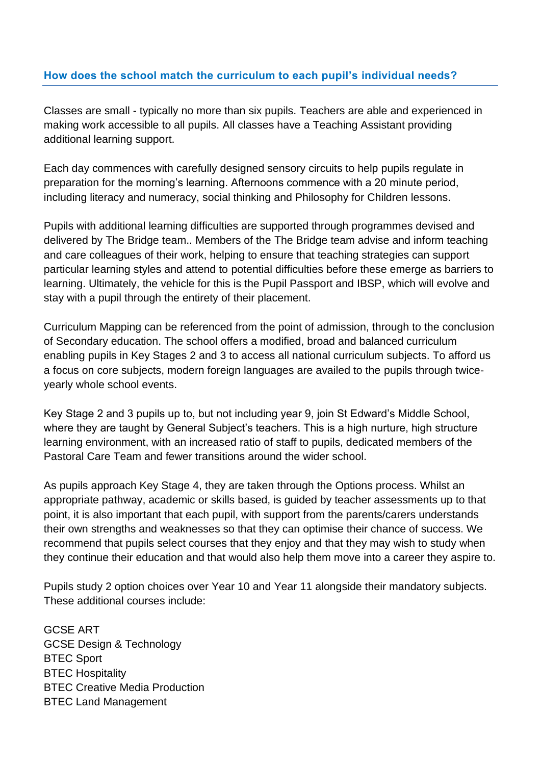#### **How does the school match the curriculum to each pupil's individual needs?**

Classes are small - typically no more than six pupils. Teachers are able and experienced in making work accessible to all pupils. All classes have a Teaching Assistant providing additional learning support.

Each day commences with carefully designed sensory circuits to help pupils regulate in preparation for the morning's learning. Afternoons commence with a 20 minute period, including literacy and numeracy, social thinking and Philosophy for Children lessons.

Pupils with additional learning difficulties are supported through programmes devised and delivered by The Bridge team.. Members of the The Bridge team advise and inform teaching and care colleagues of their work, helping to ensure that teaching strategies can support particular learning styles and attend to potential difficulties before these emerge as barriers to learning. Ultimately, the vehicle for this is the Pupil Passport and IBSP, which will evolve and stay with a pupil through the entirety of their placement.

Curriculum Mapping can be referenced from the point of admission, through to the conclusion of Secondary education. The school offers a modified, broad and balanced curriculum enabling pupils in Key Stages 2 and 3 to access all national curriculum subjects. To afford us a focus on core subjects, modern foreign languages are availed to the pupils through twiceyearly whole school events.

Key Stage 2 and 3 pupils up to, but not including year 9, join St Edward's Middle School, where they are taught by General Subject's teachers. This is a high nurture, high structure learning environment, with an increased ratio of staff to pupils, dedicated members of the Pastoral Care Team and fewer transitions around the wider school.

As pupils approach Key Stage 4, they are taken through the Options process. Whilst an appropriate pathway, academic or skills based, is guided by teacher assessments up to that point, it is also important that each pupil, with support from the parents/carers understands their own strengths and weaknesses so that they can optimise their chance of success. We recommend that pupils select courses that they enjoy and that they may wish to study when they continue their education and that would also help them move into a career they aspire to.

Pupils study 2 option choices over Year 10 and Year 11 alongside their mandatory subjects. These additional courses include:

GCSE ART GCSE Design & Technology BTEC Sport BTEC Hospitality BTEC Creative Media Production BTEC Land Management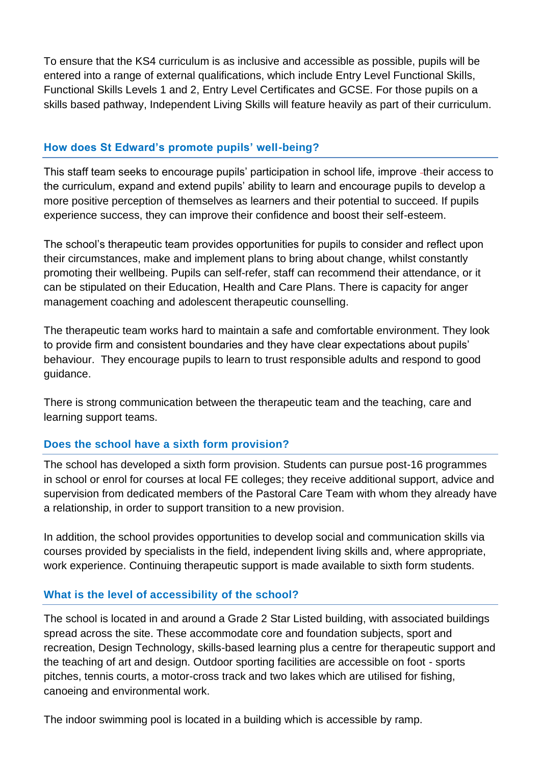To ensure that the KS4 curriculum is as inclusive and accessible as possible, pupils will be entered into a range of external qualifications, which include Entry Level Functional Skills, Functional Skills Levels 1 and 2, Entry Level Certificates and GCSE. For those pupils on a skills based pathway, Independent Living Skills will feature heavily as part of their curriculum.

#### **How does St Edward's promote pupils' well-being?**

This staff team seeks to encourage pupils' participation in school life, improve -their access to the curriculum, expand and extend pupils' ability to learn and encourage pupils to develop a more positive perception of themselves as learners and their potential to succeed. If pupils experience success, they can improve their confidence and boost their self-esteem.

The school's therapeutic team provides opportunities for pupils to consider and reflect upon their circumstances, make and implement plans to bring about change, whilst constantly promoting their wellbeing. Pupils can self-refer, staff can recommend their attendance, or it can be stipulated on their Education, Health and Care Plans. There is capacity for anger management coaching and adolescent therapeutic counselling.

The therapeutic team works hard to maintain a safe and comfortable environment. They look to provide firm and consistent boundaries and they have clear expectations about pupils' behaviour. They encourage pupils to learn to trust responsible adults and respond to good guidance.

There is strong communication between the therapeutic team and the teaching, care and learning support teams.

## **Does the school have a sixth form provision?**

The school has developed a sixth form provision. Students can pursue post-16 programmes in school or enrol for courses at local FE colleges; they receive additional support, advice and supervision from dedicated members of the Pastoral Care Team with whom they already have a relationship, in order to support transition to a new provision.

In addition, the school provides opportunities to develop social and communication skills via courses provided by specialists in the field, independent living skills and, where appropriate, work experience. Continuing therapeutic support is made available to sixth form students.

#### **What is the level of accessibility of the school?**

The school is located in and around a Grade 2 Star Listed building, with associated buildings spread across the site. These accommodate core and foundation subjects, sport and recreation, Design Technology, skills-based learning plus a centre for therapeutic support and the teaching of art and design. Outdoor sporting facilities are accessible on foot - sports pitches, tennis courts, a motor-cross track and two lakes which are utilised for fishing, canoeing and environmental work.

The indoor swimming pool is located in a building which is accessible by ramp.